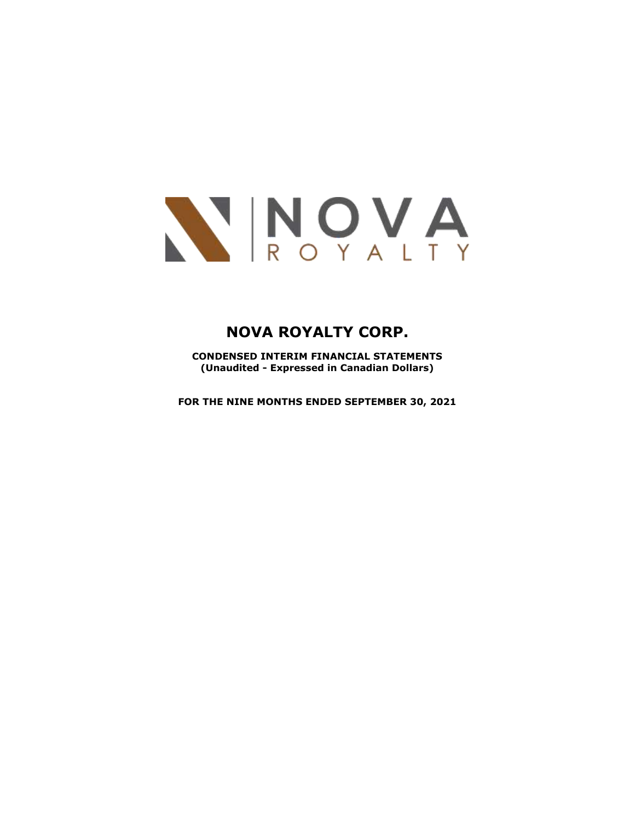

**CONDENSED INTERIM FINANCIAL STATEMENTS (Unaudited - Expressed in Canadian Dollars)**

**FOR THE NINE MONTHS ENDED SEPTEMBER 30, 2021**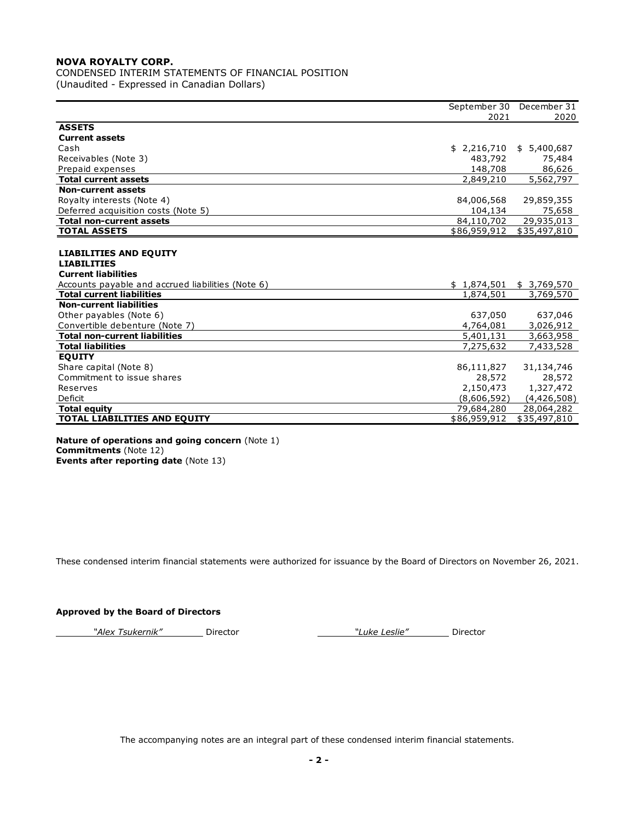CONDENSED INTERIM STATEMENTS OF FINANCIAL POSITION (Unaudited - Expressed in Canadian Dollars)

|                                                   |                           | September 30 December 31 |
|---------------------------------------------------|---------------------------|--------------------------|
|                                                   | 2021                      | 2020                     |
| <b>ASSETS</b>                                     |                           |                          |
| <b>Current assets</b>                             |                           |                          |
| Cash                                              | \$2,216,710               | \$5,400,687              |
| Receivables (Note 3)                              | 483,792                   | 75,484                   |
| Prepaid expenses                                  | 148,708                   | 86,626                   |
| <b>Total current assets</b>                       | 2,849,210                 | $\overline{5,562,797}$   |
| <b>Non-current assets</b>                         |                           |                          |
| Royalty interests (Note 4)                        | 84,006,568                | 29,859,355               |
| Deferred acquisition costs (Note 5)               | 104,134                   | 75,658                   |
| <b>Total non-current assets</b>                   | 84,110,702                | 29,935,013               |
| <b>TOTAL ASSETS</b>                               | \$86,959,912              | \$35,497,810             |
|                                                   |                           |                          |
| <b>LIABILITIES AND EQUITY</b>                     |                           |                          |
| <b>LIABILITIES</b>                                |                           |                          |
| <b>Current liabilities</b>                        |                           |                          |
| Accounts payable and accrued liabilities (Note 6) | $$1,874,501$ $$3,769,570$ |                          |
| <b>Total current liabilities</b>                  | 1,874,501                 | 3,769,570                |
| <b>Non-current liabilities</b>                    |                           |                          |
| Other payables (Note 6)                           | 637,050                   | 637,046                  |
| Convertible debenture (Note 7)                    | 4,764,081                 | 3,026,912                |
| <b>Total non-current liabilities</b>              | 5,401,131                 | 3,663,958                |
| <b>Total liabilities</b>                          | 7,275,632                 | 7,433,528                |
| <b>EQUITY</b>                                     |                           |                          |
| Share capital (Note 8)                            | 86,111,827                | 31,134,746               |
| Commitment to issue shares                        | 28,572                    | 28,572                   |
| Reserves                                          | 2,150,473                 | 1,327,472                |
| Deficit                                           | (8,606,592)               | (4,426,508)              |
| <b>Total equity</b>                               | 79,684,280                | 28,064,282               |
| <b>TOTAL LIABILITIES AND EQUITY</b>               | \$86,959,912              | \$35,497,810             |
|                                                   |                           |                          |

#### **Nature of operations and going concern** (Note 1) **Commitments** (Note 12) **Events after reporting date** (Note 13)

These condensed interim financial statements were authorized for issuance by the Board of Directors on November 26, 2021.

# **Approved by the Board of Directors**

*"Alex Tsukernik"* Director *"Luke Leslie"* Director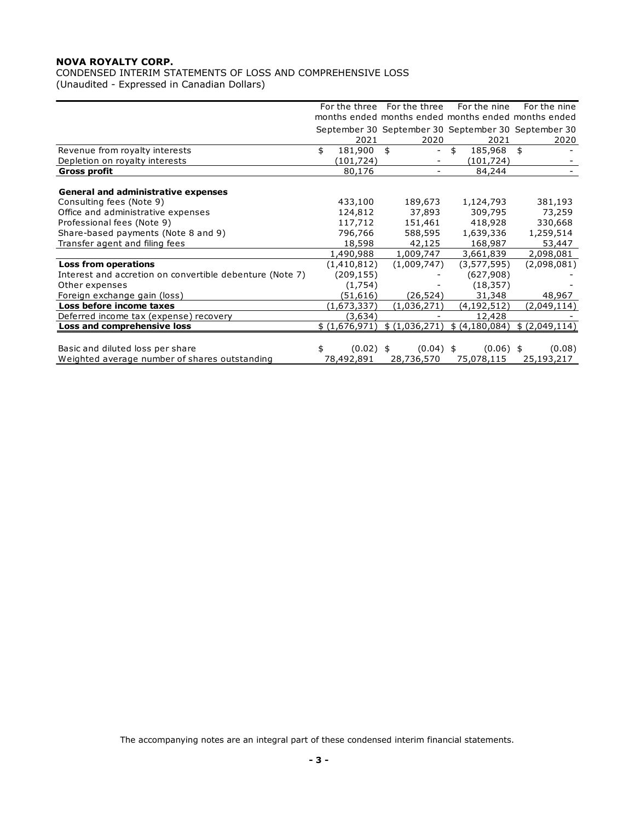CONDENSED INTERIM STATEMENTS OF LOSS AND COMPREHENSIVE LOSS (Unaudited - Expressed in Canadian Dollars)

|                                                          |                   | For the three For the three                         | For the nine   | For the nine  |
|----------------------------------------------------------|-------------------|-----------------------------------------------------|----------------|---------------|
|                                                          |                   | months ended months ended months ended months ended |                |               |
|                                                          |                   | September 30 September 30 September 30 September 30 |                |               |
|                                                          | 2021              | 2020                                                | 2021           | 2020          |
| Revenue from royalty interests                           | 181,900<br>\$     | \$<br>$\overline{\phantom{0}}$                      | 185,968<br>\$  | \$            |
| Depletion on royalty interests                           | (101,724)         |                                                     | (101,724)      |               |
| Gross profit                                             | 80,176            |                                                     | 84,244         |               |
|                                                          |                   |                                                     |                |               |
| <b>General and administrative expenses</b>               |                   |                                                     |                |               |
| Consulting fees (Note 9)                                 | 433,100           | 189,673                                             | 1,124,793      | 381,193       |
| Office and administrative expenses                       | 124,812           | 37,893                                              | 309,795        | 73,259        |
| Professional fees (Note 9)                               | 117,712           | 151,461                                             | 418,928        | 330,668       |
| Share-based payments (Note 8 and 9)                      | 796,766           | 588,595                                             | 1,639,336      | 1,259,514     |
| Transfer agent and filing fees                           | 18,598            | 42,125                                              | 168,987        | 53,447        |
|                                                          | 1,490,988         | 1,009,747                                           | 3,661,839      | 2,098,081     |
| <b>Loss from operations</b>                              | (1,410,812)       | (1,009,747)                                         | (3,577,595)    | (2,098,081)   |
| Interest and accretion on convertible debenture (Note 7) | (209, 155)        |                                                     | (627,908)      |               |
| Other expenses                                           | (1,754)           |                                                     | (18, 357)      |               |
| Foreign exchange gain (loss)                             | (51, 616)         | (26, 524)                                           | 31,348         | 48,967        |
| Loss before income taxes                                 | (1,673,337)       | (1,036,271)                                         | (4,192,512)    | (2,049,114)   |
| Deferred income tax (expense) recovery                   | (3,634)           |                                                     | 12,428         |               |
| Loss and comprehensive loss                              | \$(1,676,971)     | \$(1,036,271)                                       | \$ (4,180,084) | \$(2,049,114) |
|                                                          |                   |                                                     |                |               |
| Basic and diluted loss per share                         | $(0.02)$ \$<br>\$ | $(0.04)$ \$                                         | $(0.06)$ \$    | (0.08)        |
| Weighted average number of shares outstanding            | 78,492,891        | 28,736,570                                          | 75,078,115     | 25,193,217    |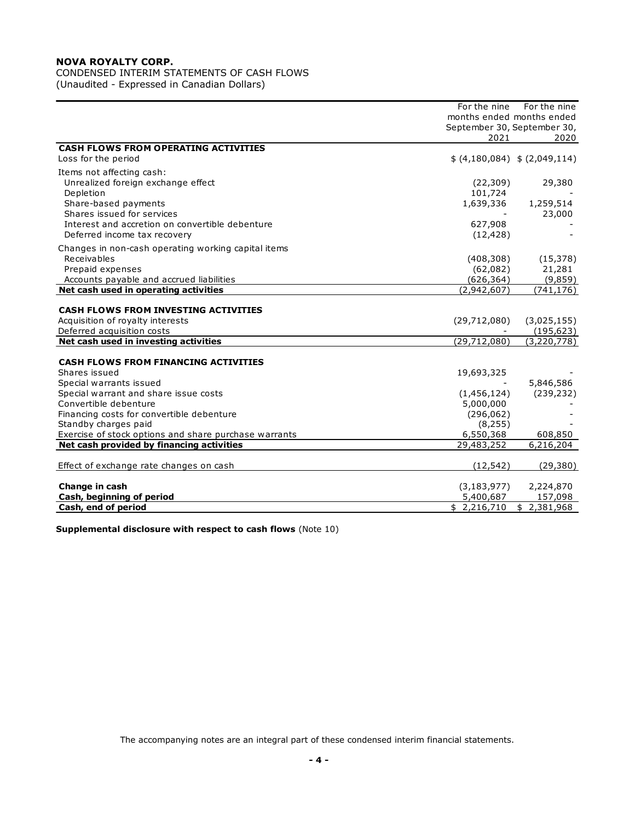CONDENSED INTERIM STATEMENTS OF CASH FLOWS

(Unaudited - Expressed in Canadian Dollars)

|                                                       | For the nine                | For the nine                  |
|-------------------------------------------------------|-----------------------------|-------------------------------|
|                                                       | months ended months ended   |                               |
|                                                       | September 30, September 30, |                               |
|                                                       | 2021                        | 2020                          |
| <b>CASH FLOWS FROM OPERATING ACTIVITIES</b>           |                             |                               |
| Loss for the period                                   |                             | \$ (4,180,084) \$ (2,049,114) |
| Items not affecting cash:                             |                             |                               |
| Unrealized foreign exchange effect                    | (22, 309)                   | 29,380                        |
| Depletion                                             | 101,724                     |                               |
| Share-based payments                                  | 1,639,336                   | 1,259,514                     |
| Shares issued for services                            |                             | 23,000                        |
| Interest and accretion on convertible debenture       | 627,908                     |                               |
| Deferred income tax recovery                          | (12, 428)                   |                               |
| Changes in non-cash operating working capital items   |                             |                               |
| Receivables                                           | (408, 308)                  | (15, 378)                     |
| Prepaid expenses                                      | (62,082)                    | 21,281                        |
| Accounts payable and accrued liabilities              | (626, 364)                  | (9,859)                       |
| Net cash used in operating activities                 | (2,942,607)                 | (741, 176)                    |
|                                                       |                             |                               |
| <b>CASH FLOWS FROM INVESTING ACTIVITIES</b>           |                             |                               |
| Acquisition of royalty interests                      | (29,712,080)                | (3,025,155)                   |
| Deferred acquisition costs                            |                             | (195, 623)                    |
| Net cash used in investing activities                 | (29, 712, 080)              | (3,220,778)                   |
|                                                       |                             |                               |
| <b>CASH FLOWS FROM FINANCING ACTIVITIES</b>           |                             |                               |
| Shares issued                                         | 19,693,325                  |                               |
| Special warrants issued                               |                             | 5,846,586                     |
| Special warrant and share issue costs                 | (1,456,124)                 | (239, 232)                    |
| Convertible debenture                                 | 5,000,000                   |                               |
| Financing costs for convertible debenture             | (296, 062)                  |                               |
| Standby charges paid                                  | (8, 255)                    |                               |
| Exercise of stock options and share purchase warrants | 6,550,368                   | 608,850                       |
| Net cash provided by financing activities             | 29,483,252                  | 6,216,204                     |
|                                                       |                             |                               |
| Effect of exchange rate changes on cash               | (12, 542)                   | (29, 380)                     |
| Change in cash                                        | (3, 183, 977)               | 2,224,870                     |
| Cash, beginning of period                             | 5,400,687                   | 157,098                       |
| Cash, end of period                                   | \$2,216,710                 | \$2,381,968                   |

**Supplemental disclosure with respect to cash flows** (Note 10)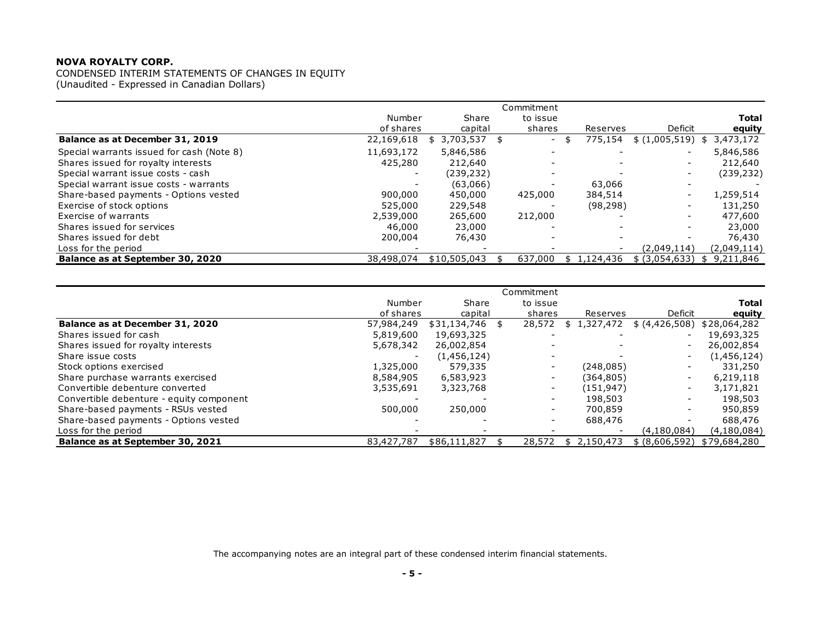|                                           |            |                    | Commitment |                 |                |                 |
|-------------------------------------------|------------|--------------------|------------|-----------------|----------------|-----------------|
|                                           | Number     | Share              | to issue   |                 |                | <b>Total</b>    |
|                                           | of shares  | capital            | shares     | Reserves        | Deficit        | equity          |
| Balance as at December 31, 2019           | 22,169,618 | 3,703,537 \$<br>\$ | $\sim$     | 775,154<br>\$   | \$(1,005,519)  | 3,473,172<br>\$ |
| Special warrants issued for cash (Note 8) | 11,693,172 | 5,846,586          |            |                 |                | 5,846,586       |
| Shares issued for royalty interests       | 425,280    | 212,640            |            |                 |                | 212,640         |
| Special warrant issue costs - cash        |            | (239,232)          |            |                 |                | (239, 232)      |
| Special warrant issue costs - warrants    |            | (63,066)           |            | 63,066          |                |                 |
| Share-based payments - Options vested     | 900,000    | 450,000            | 425,000    | 384,514         |                | 1,259,514       |
| Exercise of stock options                 | 525,000    | 229,548            |            | (98, 298)       |                | 131,250         |
| Exercise of warrants                      | 2,539,000  | 265,600            | 212,000    |                 |                | 477,600         |
| Shares issued for services                | 46,000     | 23,000             |            |                 |                | 23,000          |
| Shares issued for debt                    | 200,004    | 76,430             |            |                 |                | 76,430          |
| Loss for the period                       |            |                    |            |                 | (2,049,114)    | (2,049,114)     |
| Balance as at September 30, 2020          | 38,498,074 | \$10,505,043       | 637,000    | 1,124,436<br>\$ | \$ (3,054,633) | 9,211,846<br>\$ |

| Balance as at September 30, 2020         | 38,498,074 | $$10,505,043$ \$ | 637,000                  | \$1,124,436      | \$ (3,054,633) \$ \$ 9,211,846 |              |
|------------------------------------------|------------|------------------|--------------------------|------------------|--------------------------------|--------------|
|                                          |            |                  |                          |                  |                                |              |
|                                          |            |                  | Commitment               |                  |                                |              |
|                                          | Number     | Share            | to issue                 |                  |                                | <b>Total</b> |
|                                          | of shares  | capital          | shares                   | Reserves         | <b>Deficit</b>                 | equity       |
| Balance as at December 31, 2020          | 57,984,249 | $$31,134,746$ \$ | 28,572                   | 1,327,472<br>S.  | \$ (4,426,508)                 | \$28,064,282 |
| Shares issued for cash                   | 5,819,600  | 19,693,325       |                          |                  |                                | 19,693,325   |
| Shares issued for royalty interests      | 5,678,342  | 26,002,854       |                          |                  |                                | 26,002,854   |
| Share issue costs                        |            | (1,456,124)      | $\overline{\phantom{a}}$ |                  | $\sim$                         | (1,456,124)  |
| Stock options exercised                  | 1,325,000  | 579,335          | $\sim$                   | (248, 085)       |                                | 331,250      |
| Share purchase warrants exercised        | 8,584,905  | 6,583,923        | $\blacksquare$           | (364,805)        |                                | 6,219,118    |
| Convertible debenture converted          | 3,535,691  | 3,323,768        | $\overline{\phantom{a}}$ | (151,947)        | $\sim$                         | 3,171,821    |
| Convertible debenture - equity component |            |                  | $\sim$                   | 198,503          |                                | 198,503      |
| Share-based payments - RSUs vested       | 500,000    | 250,000          | $\sim$                   | 700,859          | $\overline{\phantom{0}}$       | 950,859      |
| Share-based payments - Options vested    |            |                  | $\overline{\phantom{a}}$ | 688,476          |                                | 688,476      |
| Loss for the period                      |            |                  |                          |                  | (4, 180, 084)                  | (4,180,084)  |
| Balance as at September 30, 2021         | 83,427,787 | \$86,111,827     | 28,572                   | 2,150,473<br>\$. | \$ (8,606,592)                 | \$79,684,280 |
|                                          |            |                  |                          |                  |                                |              |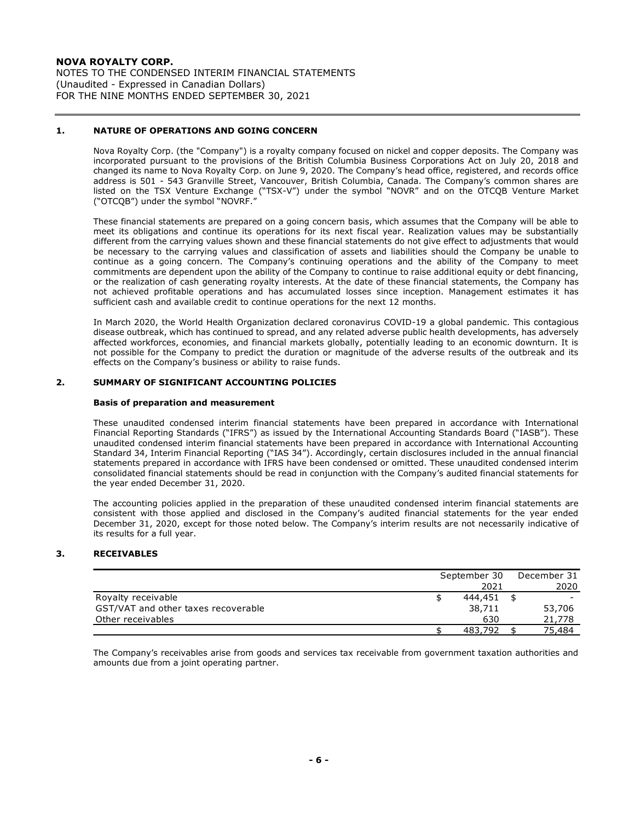NOTES TO THE CONDENSED INTERIM FINANCIAL STATEMENTS (Unaudited - Expressed in Canadian Dollars) FOR THE NINE MONTHS ENDED SEPTEMBER 30, 2021

## **1. NATURE OF OPERATIONS AND GOING CONCERN**

Nova Royalty Corp. (the "Company") is a royalty company focused on nickel and copper deposits. The Company was incorporated pursuant to the provisions of the British Columbia Business Corporations Act on July 20, 2018 and changed its name to Nova Royalty Corp. on June 9, 2020. The Company's head office, registered, and records office address is 501 - 543 Granville Street, Vancouver, British Columbia, Canada. The Company's common shares are listed on the TSX Venture Exchange ("TSX-V") under the symbol "NOVR" and on the OTCQB Venture Market ("OTCQB") under the symbol "NOVRF."

These financial statements are prepared on a going concern basis, which assumes that the Company will be able to meet its obligations and continue its operations for its next fiscal year. Realization values may be substantially different from the carrying values shown and these financial statements do not give effect to adjustments that would be necessary to the carrying values and classification of assets and liabilities should the Company be unable to continue as a going concern. The Company's continuing operations and the ability of the Company to meet commitments are dependent upon the ability of the Company to continue to raise additional equity or debt financing, or the realization of cash generating royalty interests. At the date of these financial statements, the Company has not achieved profitable operations and has accumulated losses since inception. Management estimates it has sufficient cash and available credit to continue operations for the next 12 months.

In March 2020, the World Health Organization declared coronavirus COVID-19 a global pandemic. This contagious disease outbreak, which has continued to spread, and any related adverse public health developments, has adversely affected workforces, economies, and financial markets globally, potentially leading to an economic downturn. It is not possible for the Company to predict the duration or magnitude of the adverse results of the outbreak and its effects on the Company's business or ability to raise funds.

## **2. SUMMARY OF SIGNIFICANT ACCOUNTING POLICIES**

## **Basis of preparation and measurement**

These unaudited condensed interim financial statements have been prepared in accordance with International Financial Reporting Standards ("IFRS") as issued by the International Accounting Standards Board ("IASB"). These unaudited condensed interim financial statements have been prepared in accordance with International Accounting Standard 34, Interim Financial Reporting ("IAS 34"). Accordingly, certain disclosures included in the annual financial statements prepared in accordance with IFRS have been condensed or omitted. These unaudited condensed interim consolidated financial statements should be read in conjunction with the Company's audited financial statements for the year ended December 31, 2020.

The accounting policies applied in the preparation of these unaudited condensed interim financial statements are consistent with those applied and disclosed in the Company's audited financial statements for the year ended December 31, 2020, except for those noted below. The Company's interim results are not necessarily indicative of its results for a full year.

# **3. RECEIVABLES**

|                                     | September 30 | December 31 |        |
|-------------------------------------|--------------|-------------|--------|
|                                     | 2021         |             | 2020   |
| Royalty receivable                  | 444,451      |             |        |
| GST/VAT and other taxes recoverable | 38,711       |             | 53,706 |
| Other receivables                   | 630          |             | 21,778 |
|                                     | 483,792      |             | 75,484 |

The Company's receivables arise from goods and services tax receivable from government taxation authorities and amounts due from a joint operating partner.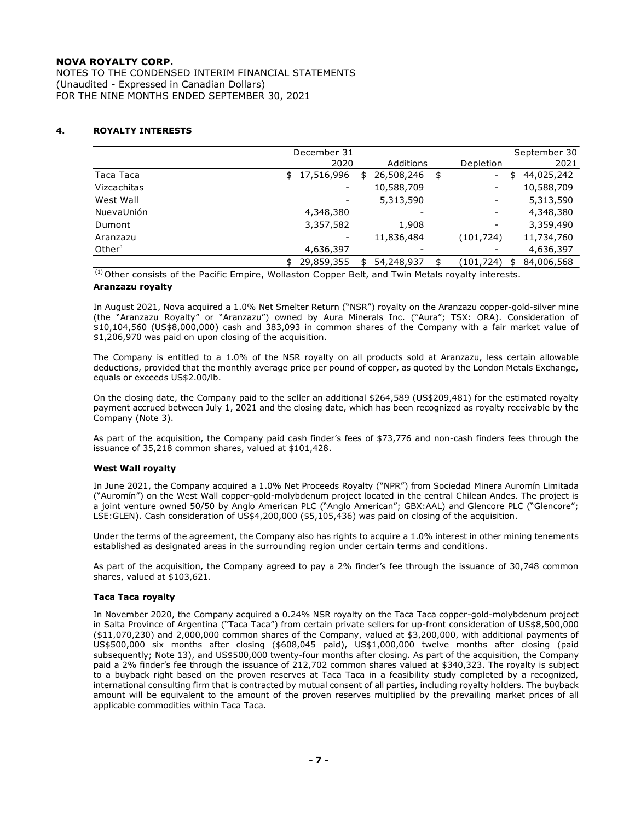NOTES TO THE CONDENSED INTERIM FINANCIAL STATEMENTS (Unaudited - Expressed in Canadian Dollars) FOR THE NINE MONTHS ENDED SEPTEMBER 30, 2021

# **4. ROYALTY INTERESTS**

|             | December 31      |    |            |            |    | September 30 |
|-------------|------------------|----|------------|------------|----|--------------|
|             | 2020             |    | Additions  | Depletion  |    | 2021         |
| Taca Taca   | 17,516,996<br>\$ | \$ | 26,508,246 | \$<br>۰.   | \$ | 44,025,242   |
| Vizcachitas |                  |    | 10,588,709 | -          |    | 10,588,709   |
| West Wall   |                  |    | 5,313,590  | -          |    | 5,313,590    |
| NuevaUnión  | 4,348,380        |    | ۰          | -          |    | 4,348,380    |
| Dumont      | 3,357,582        |    | 1,908      | -          |    | 3,359,490    |
| Aranzazu    |                  |    | 11,836,484 | (101, 724) |    | 11,734,760   |
| Other $1$   | 4,636,397        |    | ٠          |            |    | 4,636,397    |
|             | 29,859,355       | ፍ  | 54,248,937 | (101,724)  | ፍ  | 84,006,568   |

 $<sup>(1)</sup>$  Other consists of the Pacific Empire, Wollaston Copper Belt, and Twin Metals royalty interests.</sup>

#### **Aranzazu royalty**

In August 2021, Nova acquired a 1.0% Net Smelter Return ("NSR") royalty on the Aranzazu copper-gold-silver mine (the "Aranzazu Royalty" or "Aranzazu") owned by Aura Minerals Inc. ("Aura"; TSX: ORA). Consideration of \$10,104,560 (US\$8,000,000) cash and 383,093 in common shares of the Company with a fair market value of \$1,206,970 was paid on upon closing of the acquisition.

The Company is entitled to a 1.0% of the NSR royalty on all products sold at Aranzazu, less certain allowable deductions, provided that the monthly average price per pound of copper, as quoted by the London Metals Exchange, equals or exceeds US\$2.00/lb.

On the closing date, the Company paid to the seller an additional \$264,589 (US\$209,481) for the estimated royalty payment accrued between July 1, 2021 and the closing date, which has been recognized as royalty receivable by the Company (Note 3).

As part of the acquisition, the Company paid cash finder's fees of \$73,776 and non-cash finders fees through the issuance of 35,218 common shares, valued at \$101,428.

## **West Wall royalty**

In June 2021, the Company acquired a 1.0% Net Proceeds Royalty ("NPR") from Sociedad Minera Auromín Limitada ("Auromín") on the West Wall copper-gold-molybdenum project located in the central Chilean Andes. The project is a joint venture owned 50/50 by Anglo American PLC ("Anglo American"; GBX:AAL) and Glencore PLC ("Glencore"; LSE:GLEN). Cash consideration of US\$4,200,000 (\$5,105,436) was paid on closing of the acquisition.

Under the terms of the agreement, the Company also has rights to acquire a 1.0% interest in other mining tenements established as designated areas in the surrounding region under certain terms and conditions.

As part of the acquisition, the Company agreed to pay a 2% finder's fee through the issuance of 30,748 common shares, valued at \$103,621.

## **Taca Taca royalty**

In November 2020, the Company acquired a 0.24% NSR royalty on the Taca Taca copper-gold-molybdenum project in Salta Province of Argentina ("Taca Taca") from certain private sellers for up-front consideration of US\$8,500,000 (\$11,070,230) and 2,000,000 common shares of the Company, valued at \$3,200,000, with additional payments of US\$500,000 six months after closing (\$608,045 paid), US\$1,000,000 twelve months after closing (paid subsequently; Note 13), and US\$500,000 twenty-four months after closing. As part of the acquisition, the Company paid a 2% finder's fee through the issuance of 212,702 common shares valued at \$340,323. The royalty is subject to a buyback right based on the proven reserves at Taca Taca in a feasibility study completed by a recognized, international consulting firm that is contracted by mutual consent of all parties, including royalty holders. The buyback amount will be equivalent to the amount of the proven reserves multiplied by the prevailing market prices of all applicable commodities within Taca Taca.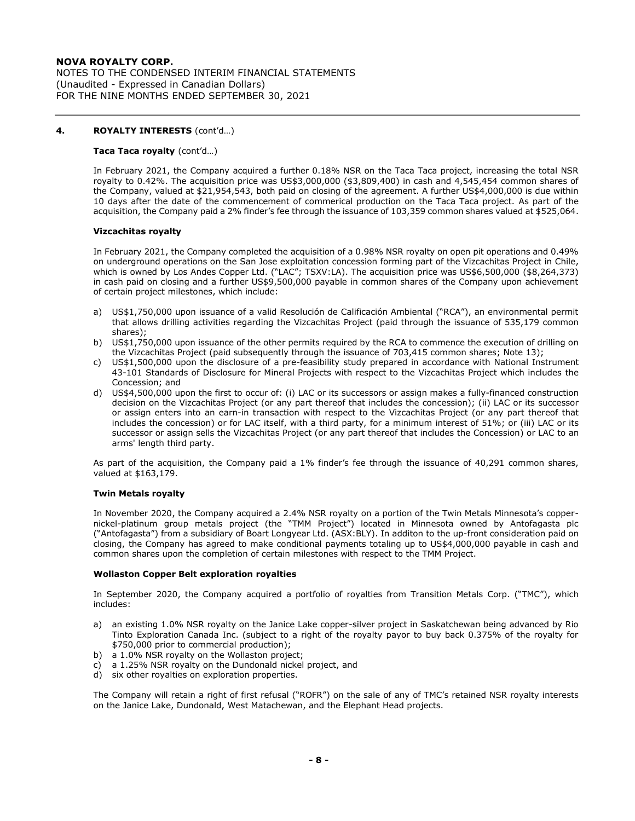NOTES TO THE CONDENSED INTERIM FINANCIAL STATEMENTS (Unaudited - Expressed in Canadian Dollars) FOR THE NINE MONTHS ENDED SEPTEMBER 30, 2021

## **4. ROYALTY INTERESTS** (cont'd…)

#### **Taca Taca royalty** (cont'd…)

In February 2021, the Company acquired a further 0.18% NSR on the Taca Taca project, increasing the total NSR royalty to 0.42%. The acquisition price was US\$3,000,000 (\$3,809,400) in cash and 4,545,454 common shares of the Company, valued at \$21,954,543, both paid on closing of the agreement. A further US\$4,000,000 is due within 10 days after the date of the commencement of commerical production on the Taca Taca project. As part of the acquisition, the Company paid a 2% finder's fee through the issuance of 103,359 common shares valued at \$525,064.

#### **Vizcachitas royalty**

In February 2021, the Company completed the acquisition of a 0.98% NSR royalty on open pit operations and 0.49% on underground operations on the San Jose exploitation concession forming part of the Vizcachitas Project in Chile, which is owned by Los Andes Copper Ltd. ("LAC"; TSXV:LA). The acquisition price was US\$6,500,000 (\$8,264,373) in cash paid on closing and a further US\$9,500,000 payable in common shares of the Company upon achievement of certain project milestones, which include:

- a) US\$1,750,000 upon issuance of a valid Resolución de Calificación Ambiental ("RCA"), an environmental permit that allows drilling activities regarding the Vizcachitas Project (paid through the issuance of 535,179 common shares);
- b) US\$1,750,000 upon issuance of the other permits required by the RCA to commence the execution of drilling on the Vizcachitas Project (paid subsequently through the issuance of 703,415 common shares; Note 13);
- c) US\$1,500,000 upon the disclosure of a pre-feasibility study prepared in accordance with National Instrument 43-101 Standards of Disclosure for Mineral Projects with respect to the Vizcachitas Project which includes the Concession; and
- d) US\$4,500,000 upon the first to occur of: (i) LAC or its successors or assign makes a fully-financed construction decision on the Vizcachitas Project (or any part thereof that includes the concession); (ii) LAC or its successor or assign enters into an earn-in transaction with respect to the Vizcachitas Project (or any part thereof that includes the concession) or for LAC itself, with a third party, for a minimum interest of 51%; or (iii) LAC or its successor or assign sells the Vizcachitas Project (or any part thereof that includes the Concession) or LAC to an arms' length third party.

As part of the acquisition, the Company paid a 1% finder's fee through the issuance of 40,291 common shares, valued at \$163,179.

#### **Twin Metals royalty**

In November 2020, the Company acquired a 2.4% NSR royalty on a portion of the Twin Metals Minnesota's coppernickel-platinum group metals project (the "TMM Project") located in Minnesota owned by Antofagasta plc ("Antofagasta") from a subsidiary of Boart Longyear Ltd. (ASX:BLY). In additon to the up-front consideration paid on closing, the Company has agreed to make conditional payments totaling up to US\$4,000,000 payable in cash and common shares upon the completion of certain milestones with respect to the TMM Project.

#### **Wollaston Copper Belt exploration royalties**

In September 2020, the Company acquired a portfolio of royalties from Transition Metals Corp. ("TMC"), which includes:

- a) an existing 1.0% NSR royalty on the Janice Lake copper-silver project in Saskatchewan being advanced by Rio Tinto Exploration Canada Inc. (subject to a right of the royalty payor to buy back 0.375% of the royalty for \$750,000 prior to commercial production);
- b) a 1.0% NSR royalty on the Wollaston project;
- c) a 1.25% NSR royalty on the Dundonald nickel project, and
- d) six other royalties on exploration properties.

The Company will retain a right of first refusal ("ROFR") on the sale of any of TMC's retained NSR royalty interests on the Janice Lake, Dundonald, West Matachewan, and the Elephant Head projects.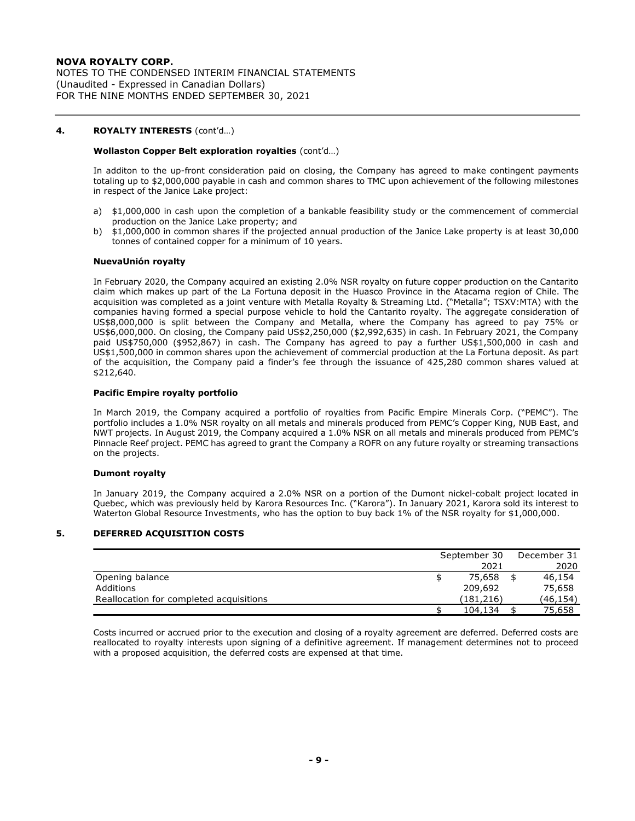NOTES TO THE CONDENSED INTERIM FINANCIAL STATEMENTS (Unaudited - Expressed in Canadian Dollars) FOR THE NINE MONTHS ENDED SEPTEMBER 30, 2021

## **4. ROYALTY INTERESTS** (cont'd…)

## **Wollaston Copper Belt exploration royalties** (cont'd…)

In additon to the up-front consideration paid on closing, the Company has agreed to make contingent payments totaling up to \$2,000,000 payable in cash and common shares to TMC upon achievement of the following milestones in respect of the Janice Lake project:

- a) \$1,000,000 in cash upon the completion of a bankable feasibility study or the commencement of commercial production on the Janice Lake property; and
- b) \$1,000,000 in common shares if the projected annual production of the Janice Lake property is at least 30,000 tonnes of contained copper for a minimum of 10 years.

## **NuevaUnión royalty**

In February 2020, the Company acquired an existing 2.0% NSR royalty on future copper production on the Cantarito claim which makes up part of the La Fortuna deposit in the Huasco Province in the Atacama region of Chile. The acquisition was completed as a joint venture with Metalla Royalty & Streaming Ltd. ("Metalla"; TSXV:MTA) with the companies having formed a special purpose vehicle to hold the Cantarito royalty. The aggregate consideration of US\$8,000,000 is split between the Company and Metalla, where the Company has agreed to pay 75% or US\$6,000,000. On closing, the Company paid US\$2,250,000 (\$2,992,635) in cash. In February 2021, the Company paid US\$750,000 (\$952,867) in cash. The Company has agreed to pay a further US\$1,500,000 in cash and US\$1,500,000 in common shares upon the achievement of commercial production at the La Fortuna deposit. As part of the acquisition, the Company paid a finder's fee through the issuance of 425,280 common shares valued at \$212,640.

## **Pacific Empire royalty portfolio**

In March 2019, the Company acquired a portfolio of royalties from Pacific Empire Minerals Corp. ("PEMC"). The portfolio includes a 1.0% NSR royalty on all metals and minerals produced from PEMC's Copper King, NUB East, and NWT projects. In August 2019, the Company acquired a 1.0% NSR on all metals and minerals produced from PEMC's Pinnacle Reef project. PEMC has agreed to grant the Company a ROFR on any future royalty or streaming transactions on the projects.

## **Dumont royalty**

In January 2019, the Company acquired a 2.0% NSR on a portion of the Dumont nickel-cobalt project located in Quebec, which was previously held by Karora Resources Inc. ("Karora"). In January 2021, Karora sold its interest to Waterton Global Resource Investments, who has the option to buy back 1% of the NSR royalty for \$1,000,000.

## **5. DEFERRED ACQUISITION COSTS**

|                                         | September 30 |           |  | December 31 |  |
|-----------------------------------------|--------------|-----------|--|-------------|--|
|                                         |              | 2021      |  | 2020        |  |
| Opening balance                         |              | 75,658    |  | 46,154      |  |
| Additions                               |              | 209,692   |  | 75,658      |  |
| Reallocation for completed acquisitions |              | (181.216) |  | (46,154)    |  |
|                                         |              | 104,134   |  | 75,658      |  |

Costs incurred or accrued prior to the execution and closing of a royalty agreement are deferred. Deferred costs are reallocated to royalty interests upon signing of a definitive agreement. If management determines not to proceed with a proposed acquisition, the deferred costs are expensed at that time.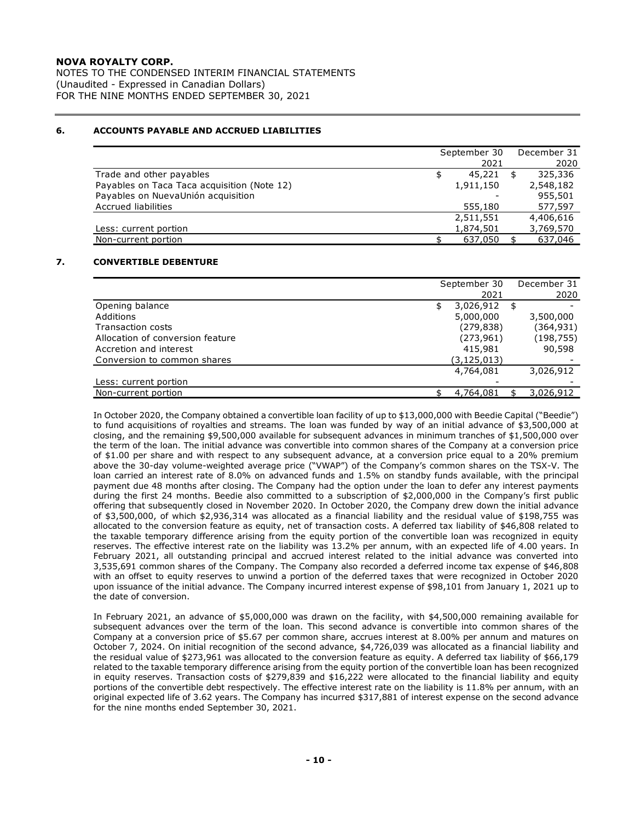NOTES TO THE CONDENSED INTERIM FINANCIAL STATEMENTS (Unaudited - Expressed in Canadian Dollars) FOR THE NINE MONTHS ENDED SEPTEMBER 30, 2021

# **6. ACCOUNTS PAYABLE AND ACCRUED LIABILITIES**

|                                             | September 30 | December 31 |
|---------------------------------------------|--------------|-------------|
|                                             | 2021         | 2020        |
| Trade and other payables                    | 45,221       | 325,336     |
| Payables on Taca Taca acquisition (Note 12) | 1,911,150    | 2,548,182   |
| Payables on NuevaUnión acquisition          |              | 955,501     |
| <b>Accrued liabilities</b>                  | 555,180      | 577,597     |
|                                             | 2,511,551    | 4,406,616   |
| Less: current portion                       | 1,874,501    | 3,769,570   |
| Non-current portion                         | 637,050      | 637,046     |

## **7. CONVERTIBLE DEBENTURE**

|                                  | September 30    | December 31 |
|----------------------------------|-----------------|-------------|
|                                  | 2021            | 2020        |
| Opening balance                  | \$<br>3,026,912 | \$          |
| Additions                        | 5,000,000       | 3,500,000   |
| Transaction costs                | (279, 838)      | (364,931)   |
| Allocation of conversion feature | (273, 961)      | (198, 755)  |
| Accretion and interest           | 415,981         | 90,598      |
| Conversion to common shares      | (3,125,013)     |             |
|                                  | 4,764,081       | 3,026,912   |
| Less: current portion            |                 |             |
| Non-current portion              | 4,764,081       | 3,026,912   |

In October 2020, the Company obtained a convertible loan facility of up to \$13,000,000 with Beedie Capital ("Beedie") to fund acquisitions of royalties and streams. The loan was funded by way of an initial advance of \$3,500,000 at closing, and the remaining \$9,500,000 available for subsequent advances in minimum tranches of \$1,500,000 over the term of the loan. The initial advance was convertible into common shares of the Company at a conversion price of \$1.00 per share and with respect to any subsequent advance, at a conversion price equal to a 20% premium above the 30-day volume-weighted average price ("VWAP") of the Company's common shares on the TSX-V. The loan carried an interest rate of 8.0% on advanced funds and 1.5% on standby funds available, with the principal payment due 48 months after closing. The Company had the option under the loan to defer any interest payments during the first 24 months. Beedie also committed to a subscription of \$2,000,000 in the Company's first public offering that subsequently closed in November 2020. In October 2020, the Company drew down the initial advance of \$3,500,000, of which \$2,936,314 was allocated as a financial liability and the residual value of \$198,755 was allocated to the conversion feature as equity, net of transaction costs. A deferred tax liability of \$46,808 related to the taxable temporary difference arising from the equity portion of the convertible loan was recognized in equity reserves. The effective interest rate on the liability was 13.2% per annum, with an expected life of 4.00 years. In February 2021, all outstanding principal and accrued interest related to the initial advance was converted into 3,535,691 common shares of the Company. The Company also recorded a deferred income tax expense of \$46,808 with an offset to equity reserves to unwind a portion of the deferred taxes that were recognized in October 2020 upon issuance of the initial advance. The Company incurred interest expense of \$98,101 from January 1, 2021 up to the date of conversion.

In February 2021, an advance of \$5,000,000 was drawn on the facility, with \$4,500,000 remaining available for subsequent advances over the term of the loan. This second advance is convertible into common shares of the Company at a conversion price of \$5.67 per common share, accrues interest at 8.00% per annum and matures on October 7, 2024. On initial recognition of the second advance, \$4,726,039 was allocated as a financial liability and the residual value of \$273,961 was allocated to the conversion feature as equity. A deferred tax liability of \$66,179 related to the taxable temporary difference arising from the equity portion of the convertible loan has been recognized in equity reserves. Transaction costs of \$279,839 and \$16,222 were allocated to the financial liability and equity portions of the convertible debt respectively. The effective interest rate on the liability is 11.8% per annum, with an original expected life of 3.62 years. The Company has incurred \$317,881 of interest expense on the second advance for the nine months ended September 30, 2021.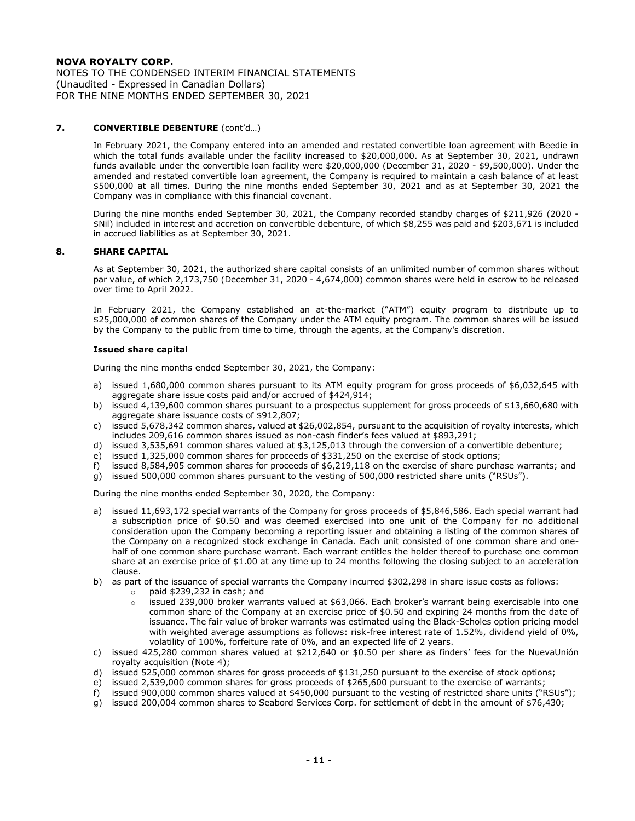NOTES TO THE CONDENSED INTERIM FINANCIAL STATEMENTS (Unaudited - Expressed in Canadian Dollars) FOR THE NINE MONTHS ENDED SEPTEMBER 30, 2021

## **7. CONVERTIBLE DEBENTURE** (cont'd…)

In February 2021, the Company entered into an amended and restated convertible loan agreement with Beedie in which the total funds available under the facility increased to \$20,000,000. As at September 30, 2021, undrawn funds available under the convertible loan facility were \$20,000,000 (December 31, 2020 - \$9,500,000). Under the amended and restated convertible loan agreement, the Company is required to maintain a cash balance of at least \$500,000 at all times. During the nine months ended September 30, 2021 and as at September 30, 2021 the Company was in compliance with this financial covenant.

During the nine months ended September 30, 2021, the Company recorded standby charges of \$211,926 (2020 - \$Nil) included in interest and accretion on convertible debenture, of which \$8,255 was paid and \$203,671 is included in accrued liabilities as at September 30, 2021.

## **8. SHARE CAPITAL**

As at September 30, 2021, the authorized share capital consists of an unlimited number of common shares without par value, of which 2,173,750 (December 31, 2020 - 4,674,000) common shares were held in escrow to be released over time to April 2022.

In February 2021, the Company established an at-the-market ("ATM") equity program to distribute up to \$25,000,000 of common shares of the Company under the ATM equity program. The common shares will be issued by the Company to the public from time to time, through the agents, at the Company's discretion.

#### **Issued share capital**

During the nine months ended September 30, 2021, the Company:

- a) issued 1,680,000 common shares pursuant to its ATM equity program for gross proceeds of \$6,032,645 with aggregate share issue costs paid and/or accrued of \$424,914;
- b) issued 4,139,600 common shares pursuant to a prospectus supplement for gross proceeds of \$13,660,680 with aggregate share issuance costs of \$912,807;
- c) issued 5,678,342 common shares, valued at \$26,002,854, pursuant to the acquisition of royalty interests, which includes 209,616 common shares issued as non-cash finder's fees valued at \$893,291;
- d) issued 3,535,691 common shares valued at \$3,125,013 through the conversion of a convertible debenture;
- e) issued 1,325,000 common shares for proceeds of \$331,250 on the exercise of stock options;
- f) issued 8,584,905 common shares for proceeds of \$6,219,118 on the exercise of share purchase warrants; and
- g) issued 500,000 common shares pursuant to the vesting of 500,000 restricted share units ("RSUs").

During the nine months ended September 30, 2020, the Company:

- a) issued 11,693,172 special warrants of the Company for gross proceeds of \$5,846,586. Each special warrant had a subscription price of \$0.50 and was deemed exercised into one unit of the Company for no additional consideration upon the Company becoming a reporting issuer and obtaining a listing of the common shares of the Company on a recognized stock exchange in Canada. Each unit consisted of one common share and onehalf of one common share purchase warrant. Each warrant entitles the holder thereof to purchase one common share at an exercise price of \$1.00 at any time up to 24 months following the closing subject to an acceleration clause.
- b) as part of the issuance of special warrants the Company incurred \$302,298 in share issue costs as follows:
	- o paid \$239,232 in cash; and
		- $\circ$  issued 239,000 broker warrants valued at \$63,066. Each broker's warrant being exercisable into one common share of the Company at an exercise price of \$0.50 and expiring 24 months from the date of issuance. The fair value of broker warrants was estimated using the Black-Scholes option pricing model with weighted average assumptions as follows: risk-free interest rate of 1.52%, dividend yield of 0%, volatility of 100%, forfeiture rate of 0%, and an expected life of 2 years.
- c) issued 425,280 common shares valued at \$212,640 or \$0.50 per share as finders' fees for the NuevaUnión royalty acquisition (Note 4);
- d) issued 525,000 common shares for gross proceeds of \$131,250 pursuant to the exercise of stock options;
- e) issued 2,539,000 common shares for gross proceeds of \$265,600 pursuant to the exercise of warrants;
- f) issued 900,000 common shares valued at \$450,000 pursuant to the vesting of restricted share units ("RSUs");
- g) issued 200,004 common shares to Seabord Services Corp. for settlement of debt in the amount of \$76,430;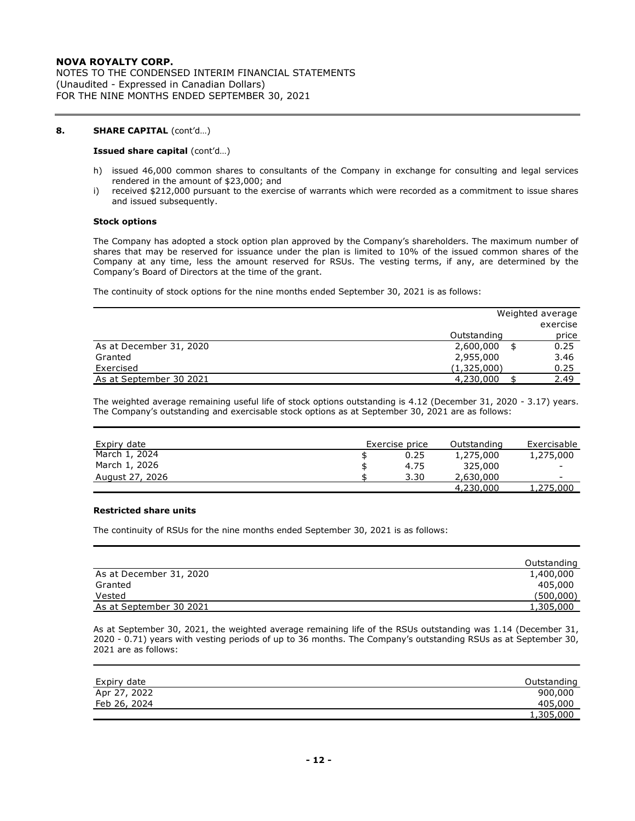NOTES TO THE CONDENSED INTERIM FINANCIAL STATEMENTS (Unaudited - Expressed in Canadian Dollars) FOR THE NINE MONTHS ENDED SEPTEMBER 30, 2021

## **8. SHARE CAPITAL** (cont'd…)

#### **Issued share capital** (cont'd…)

- h) issued 46,000 common shares to consultants of the Company in exchange for consulting and legal services rendered in the amount of \$23,000; and
- i) received \$212,000 pursuant to the exercise of warrants which were recorded as a commitment to issue shares and issued subsequently.

#### **Stock options**

The Company has adopted a stock option plan approved by the Company's shareholders. The maximum number of shares that may be reserved for issuance under the plan is limited to 10% of the issued common shares of the Company at any time, less the amount reserved for RSUs. The vesting terms, if any, are determined by the Company's Board of Directors at the time of the grant.

The continuity of stock options for the nine months ended September 30, 2021 is as follows:

|                         |             | Weighted average |
|-------------------------|-------------|------------------|
|                         |             | exercise         |
|                         | Outstanding | price            |
| As at December 31, 2020 | 2,600,000   | 0.25             |
| Granted                 | 2,955,000   | 3.46             |
| Exercised               | (1,325,000) | 0.25             |
| As at September 30 2021 | 4,230,000   | 2.49             |

The weighted average remaining useful life of stock options outstanding is 4.12 (December 31, 2020 - 3.17) years. The Company's outstanding and exercisable stock options as at September 30, 2021 are as follows:

| Expiry date     | Exercise price | Outstanding | Exercisable              |
|-----------------|----------------|-------------|--------------------------|
| March 1, 2024   | 0.25           | 1,275,000   | 1,275,000                |
| March 1, 2026   | 4.75           | 325,000     | $\overline{\phantom{a}}$ |
| August 27, 2026 | 3.30           | 2,630,000   | $\overline{\phantom{0}}$ |
|                 |                | 4,230,000   | 1,275,000                |

## **Restricted share units**

The continuity of RSUs for the nine months ended September 30, 2021 is as follows:

|                         | Outstanding |
|-------------------------|-------------|
| As at December 31, 2020 | 1,400,000   |
| Granted                 | 405,000     |
| Vested                  | (500,000)   |
| As at September 30 2021 | 1,305,000   |

As at September 30, 2021, the weighted average remaining life of the RSUs outstanding was 1.14 (December 31, 2020 - 0.71) years with vesting periods of up to 36 months. The Company's outstanding RSUs as at September 30, 2021 are as follows:

| Expiry date  | Outstanding |
|--------------|-------------|
| Apr 27, 2022 | 900,000     |
| Feb 26, 2024 | 405,000     |
|              | 1,305,000   |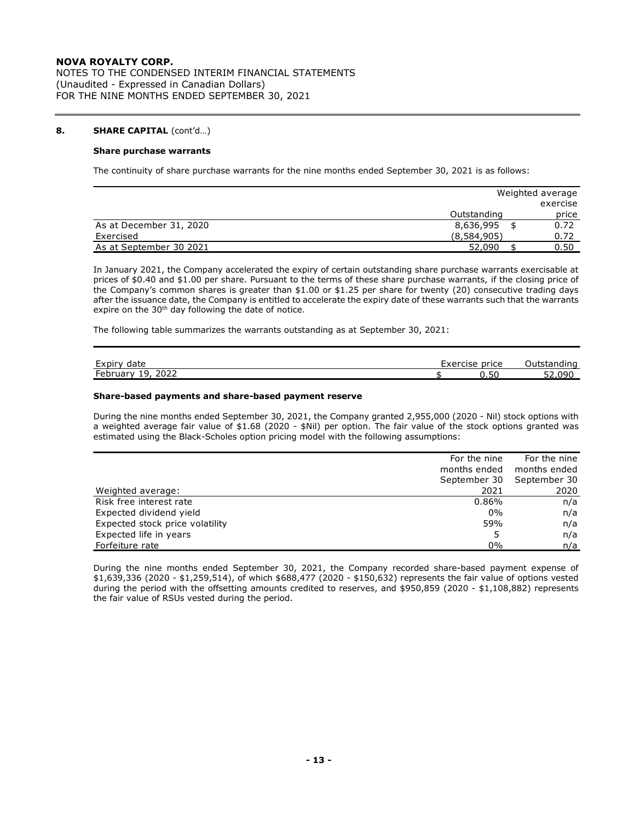NOTES TO THE CONDENSED INTERIM FINANCIAL STATEMENTS (Unaudited - Expressed in Canadian Dollars) FOR THE NINE MONTHS ENDED SEPTEMBER 30, 2021

## **8. SHARE CAPITAL** (cont'd…)

## **Share purchase warrants**

The continuity of share purchase warrants for the nine months ended September 30, 2021 is as follows:

|                         | Weighted average |          |
|-------------------------|------------------|----------|
|                         |                  | exercise |
|                         | Outstanding      | price    |
| As at December 31, 2020 | 8,636,995        | 0.72     |
| Exercised               | (8,584,905)      | 0.72     |
| As at September 30 2021 | 52,090           | 0.50     |

In January 2021, the Company accelerated the expiry of certain outstanding share purchase warrants exercisable at prices of \$0.40 and \$1.00 per share. Pursuant to the terms of these share purchase warrants, if the closing price of the Company's common shares is greater than \$1.00 or \$1.25 per share for twenty (20) consecutive trading days after the issuance date, the Company is entitled to accelerate the expiry date of these warrants such that the warrants expire on the 30<sup>th</sup> day following the date of notice.

The following table summarizes the warrants outstanding as at September 30, 2021:

| Expiry                                                           | Exercise | — ∪utster f |
|------------------------------------------------------------------|----------|-------------|
| date                                                             | price    | tstanding   |
| 2022<br>$\overline{\phantom{0}}$<br>۱۹<br>February<br><b>. .</b> | 0.50     | nar<br>ےر   |

#### **Share-based payments and share-based payment reserve**

During the nine months ended September 30, 2021, the Company granted 2,955,000 (2020 - Nil) stock options with a weighted average fair value of \$1.68 (2020 - \$Nil) per option. The fair value of the stock options granted was estimated using the Black-Scholes option pricing model with the following assumptions:

|                                 | For the nine | For the nine |
|---------------------------------|--------------|--------------|
|                                 | months ended | months ended |
|                                 | September 30 | September 30 |
| Weighted average:               | 2021         | 2020         |
| Risk free interest rate         | 0.86%        | n/a          |
| Expected dividend yield         | $0\%$        | n/a          |
| Expected stock price volatility | 59%          | n/a          |
| Expected life in years          | 5            | n/a          |
| Forfeiture rate                 | 0%           | n/a          |

During the nine months ended September 30, 2021, the Company recorded share-based payment expense of \$1,639,336 (2020 - \$1,259,514), of which \$688,477 (2020 - \$150,632) represents the fair value of options vested during the period with the offsetting amounts credited to reserves, and \$950,859 (2020 - \$1,108,882) represents the fair value of RSUs vested during the period.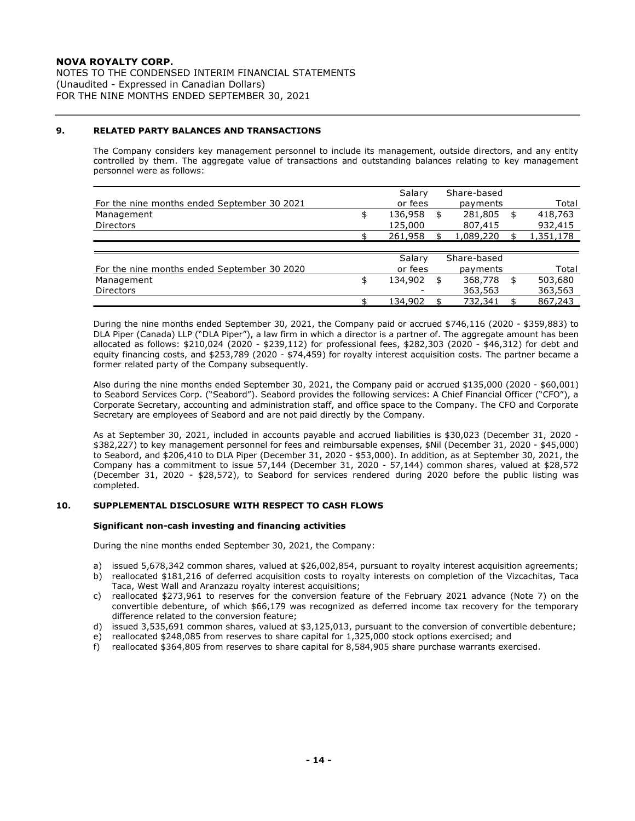NOTES TO THE CONDENSED INTERIM FINANCIAL STATEMENTS (Unaudited - Expressed in Canadian Dollars) FOR THE NINE MONTHS ENDED SEPTEMBER 30, 2021

## **9. RELATED PARTY BALANCES AND TRANSACTIONS**

The Company considers key management personnel to include its management, outside directors, and any entity controlled by them. The aggregate value of transactions and outstanding balances relating to key management personnel were as follows:

|                                             | Salary        | Share-based   |               |
|---------------------------------------------|---------------|---------------|---------------|
| For the nine months ended September 30 2021 | or fees       | payments      | Total         |
| Management                                  | \$<br>136,958 | \$<br>281,805 | \$<br>418,763 |
| <b>Directors</b>                            | 125,000       | 807,415       | 932,415       |
|                                             | 261,958       | 1,089,220     | 1,351,178     |
|                                             |               |               |               |
|                                             | Salary        | Share-based   |               |
| For the nine months ended September 30 2020 | or fees       | payments      | Total         |
| Management                                  | \$<br>134,902 | \$<br>368,778 | \$<br>503,680 |
| <b>Directors</b>                            |               | 363,563       | 363,563       |
|                                             | 134,902       | 732,341       | 867,243       |

During the nine months ended September 30, 2021, the Company paid or accrued \$746,116 (2020 - \$359,883) to DLA Piper (Canada) LLP ("DLA Piper"), a law firm in which a director is a partner of. The aggregate amount has been allocated as follows: \$210,024 (2020 - \$239,112) for professional fees, \$282,303 (2020 - \$46,312) for debt and equity financing costs, and \$253,789 (2020 - \$74,459) for royalty interest acquisition costs. The partner became a former related party of the Company subsequently.

Also during the nine months ended September 30, 2021, the Company paid or accrued \$135,000 (2020 - \$60,001) to Seabord Services Corp. ("Seabord"). Seabord provides the following services: A Chief Financial Officer ("CFO"), a Corporate Secretary, accounting and administration staff, and office space to the Company. The CFO and Corporate Secretary are employees of Seabord and are not paid directly by the Company.

As at September 30, 2021, included in accounts payable and accrued liabilities is \$30,023 (December 31, 2020 - \$382,227) to key management personnel for fees and reimbursable expenses, \$Nil (December 31, 2020 - \$45,000) to Seabord, and \$206,410 to DLA Piper (December 31, 2020 - \$53,000). In addition, as at September 30, 2021, the Company has a commitment to issue 57,144 (December 31, 2020 - 57,144) common shares, valued at \$28,572 (December 31, 2020 - \$28,572), to Seabord for services rendered during 2020 before the public listing was completed.

## **10. SUPPLEMENTAL DISCLOSURE WITH RESPECT TO CASH FLOWS**

## **Significant non-cash investing and financing activities**

During the nine months ended September 30, 2021, the Company:

- a) issued 5,678,342 common shares, valued at \$26,002,854, pursuant to royalty interest acquisition agreements;
- b) reallocated \$181,216 of deferred acquisition costs to royalty interests on completion of the Vizcachitas, Taca Taca, West Wall and Aranzazu royalty interest acquisitions;
- c) reallocated \$273,961 to reserves for the conversion feature of the February 2021 advance (Note 7) on the convertible debenture, of which \$66,179 was recognized as deferred income tax recovery for the temporary difference related to the conversion feature;
- d) issued 3,535,691 common shares, valued at \$3,125,013, pursuant to the conversion of convertible debenture;
- e) reallocated \$248,085 from reserves to share capital for 1,325,000 stock options exercised; and
- f) reallocated \$364,805 from reserves to share capital for 8,584,905 share purchase warrants exercised.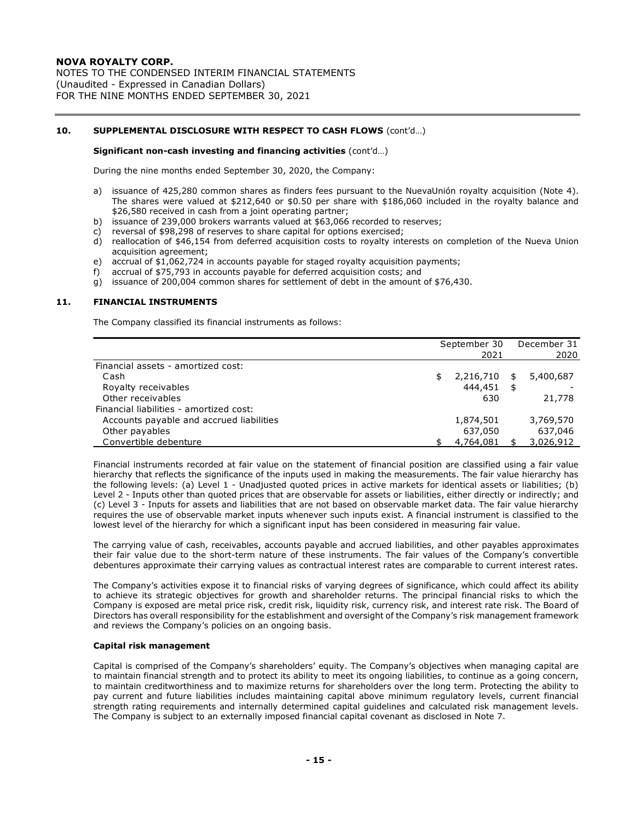NOTES TO THE CONDENSED INTERIM FINANCIAL STATEMENTS (Unaudited - Expressed in Canadian Dollars) FOR THE NINE MONTHS ENDED SEPTEMBER 30, 2021

## **10. SUPPLEMENTAL DISCLOSURE WITH RESPECT TO CASH FLOWS** (cont'd…)

#### **Significant non-cash investing and financing activities** (cont'd…)

During the nine months ended September 30, 2020, the Company:

- a) issuance of 425,280 common shares as finders fees pursuant to the NuevaUnión royalty acquisition (Note 4). The shares were valued at \$212,640 or \$0.50 per share with \$186,060 included in the royalty balance and \$26,580 received in cash from a joint operating partner;
- b) issuance of 239,000 brokers warrants valued at \$63,066 recorded to reserves;
- c) reversal of \$98,298 of reserves to share capital for options exercised;
- d) reallocation of \$46,154 from deferred acquisition costs to royalty interests on completion of the Nueva Union acquisition agreement;
- e) accrual of \$1,062,724 in accounts payable for staged royalty acquisition payments;
- f) accrual of \$75,793 in accounts payable for deferred acquisition costs; and
- g) issuance of 200,004 common shares for settlement of debt in the amount of \$76,430.

#### **11. FINANCIAL INSTRUMENTS**

The Company classified its financial instruments as follows:

|                                          | September 30 | December 31     |
|------------------------------------------|--------------|-----------------|
|                                          | 2021         | 2020            |
| Financial assets - amortized cost:       |              |                 |
| Cash                                     | 2,216,710    | \$<br>5,400,687 |
| Royalty receivables                      | 444,451      | \$              |
| Other receivables                        | 630          | 21,778          |
| Financial liabilities - amortized cost:  |              |                 |
| Accounts payable and accrued liabilities | 1,874,501    | 3,769,570       |
| Other payables                           | 637,050      | 637,046         |
| Convertible debenture                    | 4,764,081    | 3,026,912       |

Financial instruments recorded at fair value on the statement of financial position are classified using a fair value hierarchy that reflects the significance of the inputs used in making the measurements. The fair value hierarchy has the following levels: (a) Level 1 - Unadjusted quoted prices in active markets for identical assets or liabilities; (b) Level 2 - Inputs other than quoted prices that are observable for assets or liabilities, either directly or indirectly; and (c) Level 3 - Inputs for assets and liabilities that are not based on observable market data. The fair value hierarchy requires the use of observable market inputs whenever such inputs exist. A financial instrument is classified to the lowest level of the hierarchy for which a significant input has been considered in measuring fair value.

The carrying value of cash, receivables, accounts payable and accrued liabilities, and other payables approximates their fair value due to the short-term nature of these instruments. The fair values of the Company's convertible debentures approximate their carrying values as contractual interest rates are comparable to current interest rates.

The Company's activities expose it to financial risks of varying degrees of significance, which could affect its ability to achieve its strategic objectives for growth and shareholder returns. The principal financial risks to which the Company is exposed are metal price risk, credit risk, liquidity risk, currency risk, and interest rate risk. The Board of Directors has overall responsibility for the establishment and oversight of the Company's risk management framework and reviews the Company's policies on an ongoing basis.

#### **Capital risk management**

Capital is comprised of the Company's shareholders' equity. The Company's objectives when managing capital are to maintain financial strength and to protect its ability to meet its ongoing liabilities, to continue as a going concern, to maintain creditworthiness and to maximize returns for shareholders over the long term. Protecting the ability to pay current and future liabilities includes maintaining capital above minimum regulatory levels, current financial strength rating requirements and internally determined capital guidelines and calculated risk management levels. The Company is subject to an externally imposed financial capital covenant as disclosed in Note 7.